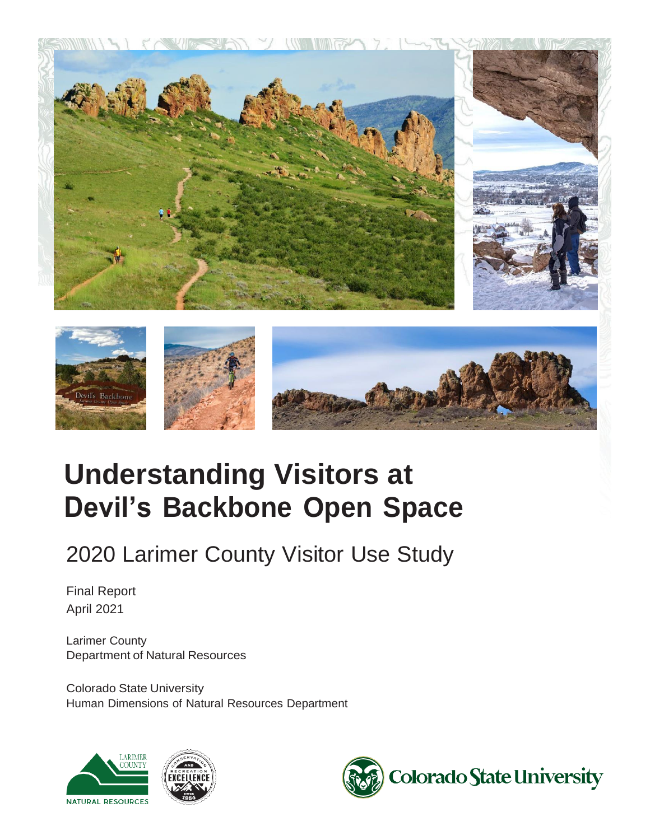



# **Understanding Visitors at Devil's Backbone Open Space**

# 2020 Larimer County Visitor Use Study

Final Report April 2021

Larimer County Department of Natural Resources

Colorado State University Human Dimensions of Natural Resources Department





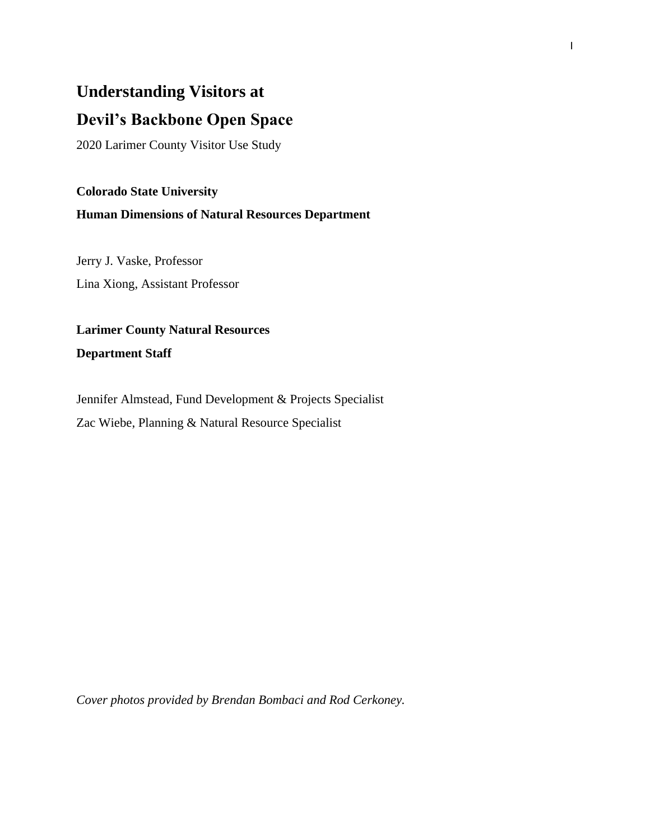# **Understanding Visitors at**

# **Devil's Backbone Open Space**

2020 Larimer County Visitor Use Study

## **Colorado State University**

## **Human Dimensions of Natural Resources Department**

Jerry J. Vaske, Professor Lina Xiong, Assistant Professor

# **Larimer County Natural Resources**

## **Department Staff**

Jennifer Almstead, Fund Development & Projects Specialist Zac Wiebe, Planning & Natural Resource Specialist

*Cover photos provided by Brendan Bombaci and Rod Cerkoney.*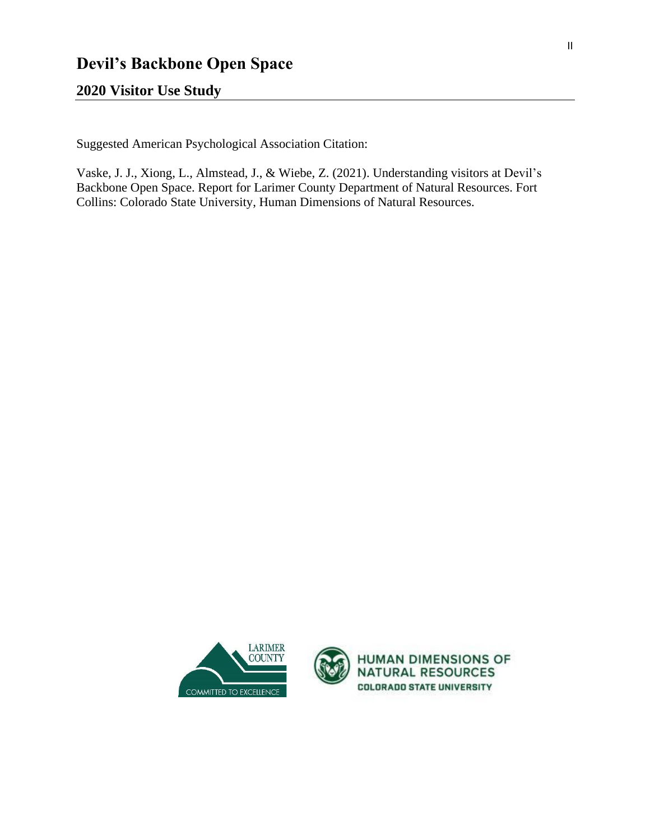# **Devil's Backbone Open Space**

## **2020 Visitor Use Study**

Suggested American Psychological Association Citation:

Vaske, J. J., Xiong, L., Almstead, J., & Wiebe, Z. (2021). Understanding visitors at Devil's Backbone Open Space. Report for Larimer County Department of Natural Resources. Fort Collins: Colorado State University, Human Dimensions of Natural Resources.



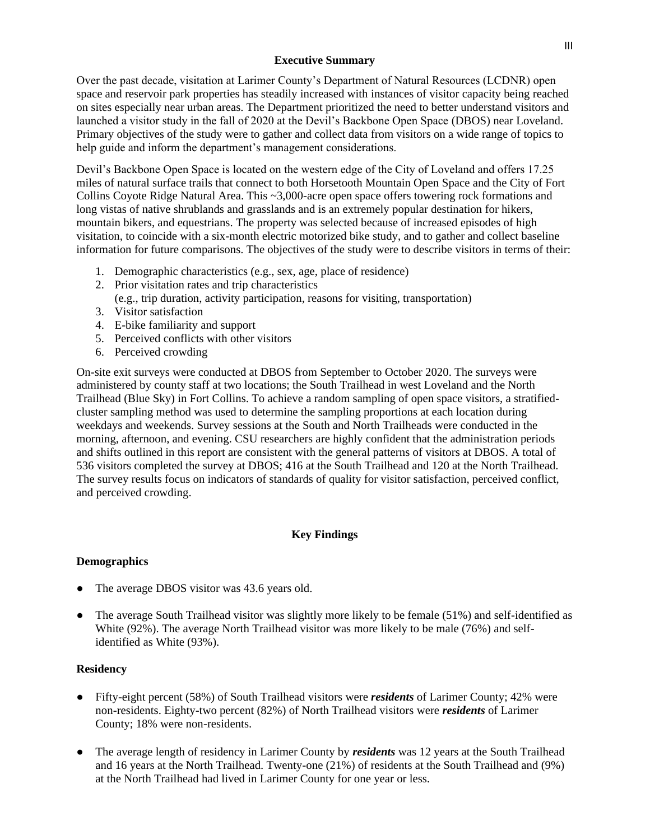#### **Executive Summary**

Over the past decade, visitation at Larimer County's Department of Natural Resources (LCDNR) open space and reservoir park properties has steadily increased with instances of visitor capacity being reached on sites especially near urban areas. The Department prioritized the need to better understand visitors and launched a visitor study in the fall of 2020 at the Devil's Backbone Open Space (DBOS) near Loveland. Primary objectives of the study were to gather and collect data from visitors on a wide range of topics to help guide and inform the department's management considerations.

Devil's Backbone Open Space is located on the western edge of the City of Loveland and offers 17.25 miles of natural surface trails that connect to both Horsetooth Mountain Open Space and the City of Fort Collins Coyote Ridge Natural Area. This ~3,000-acre open space offers towering rock formations and long vistas of native shrublands and grasslands and is an extremely popular destination for hikers, mountain bikers, and equestrians. The property was selected because of increased episodes of high visitation, to coincide with a six-month electric motorized bike study, and to gather and collect baseline information for future comparisons. The objectives of the study were to describe visitors in terms of their:

- 1. Demographic characteristics (e.g., sex, age, place of residence)
- 2. Prior visitation rates and trip characteristics
	- (e.g., trip duration, activity participation, reasons for visiting, transportation)
- 3. Visitor satisfaction
- 4. E-bike familiarity and support
- 5. Perceived conflicts with other visitors
- 6. Perceived crowding

On-site exit surveys were conducted at DBOS from September to October 2020. The surveys were administered by county staff at two locations; the South Trailhead in west Loveland and the North Trailhead (Blue Sky) in Fort Collins. To achieve a random sampling of open space visitors, a stratifiedcluster sampling method was used to determine the sampling proportions at each location during weekdays and weekends. Survey sessions at the South and North Trailheads were conducted in the morning, afternoon, and evening. CSU researchers are highly confident that the administration periods and shifts outlined in this report are consistent with the general patterns of visitors at DBOS. A total of 536 visitors completed the survey at DBOS; 416 at the South Trailhead and 120 at the North Trailhead. The survey results focus on indicators of standards of quality for visitor satisfaction, perceived conflict, and perceived crowding.

#### **Key Findings**

#### **Demographics**

- The average DBOS visitor was 43.6 years old.
- The average South Trailhead visitor was slightly more likely to be female (51%) and self-identified as White (92%). The average North Trailhead visitor was more likely to be male (76%) and selfidentified as White (93%).

#### **Residency**

- Fifty-eight percent (58%) of South Trailhead visitors were *residents* of Larimer County; 42% were non-residents. Eighty-two percent (82%) of North Trailhead visitors were *residents* of Larimer County; 18% were non-residents.
- The average length of residency in Larimer County by *residents* was 12 years at the South Trailhead and 16 years at the North Trailhead. Twenty-one (21%) of residents at the South Trailhead and (9%) at the North Trailhead had lived in Larimer County for one year or less.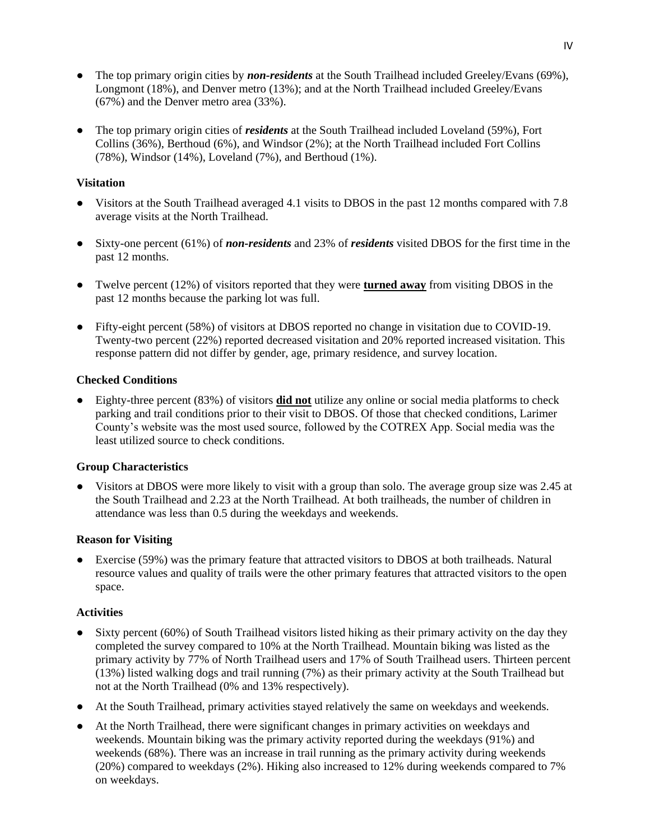- The top primary origin cities by *non-residents* at the South Trailhead included Greeley/Evans (69%), Longmont (18%), and Denver metro (13%); and at the North Trailhead included Greeley/Evans (67%) and the Denver metro area (33%).
- The top primary origin cities of *residents* at the South Trailhead included Loveland (59%), Fort Collins (36%), Berthoud (6%), and Windsor (2%); at the North Trailhead included Fort Collins (78%), Windsor (14%), Loveland (7%), and Berthoud (1%).

### **Visitation**

- Visitors at the South Trailhead averaged 4.1 visits to DBOS in the past 12 months compared with 7.8 average visits at the North Trailhead.
- Sixty-one percent (61%) of *non-residents* and 23% of *residents* visited DBOS for the first time in the past 12 months.
- Twelve percent (12%) of visitors reported that they were **turned away** from visiting DBOS in the past 12 months because the parking lot was full.
- Fifty-eight percent (58%) of visitors at DBOS reported no change in visitation due to COVID-19. Twenty-two percent (22%) reported decreased visitation and 20% reported increased visitation. This response pattern did not differ by gender, age, primary residence, and survey location.

#### **Checked Conditions**

● Eighty-three percent (83%) of visitors **did not** utilize any online or social media platforms to check parking and trail conditions prior to their visit to DBOS. Of those that checked conditions, Larimer County's website was the most used source, followed by the COTREX App. Social media was the least utilized source to check conditions.

#### **Group Characteristics**

● Visitors at DBOS were more likely to visit with a group than solo. The average group size was 2.45 at the South Trailhead and 2.23 at the North Trailhead. At both trailheads, the number of children in attendance was less than 0.5 during the weekdays and weekends.

#### **Reason for Visiting**

● Exercise (59%) was the primary feature that attracted visitors to DBOS at both trailheads. Natural resource values and quality of trails were the other primary features that attracted visitors to the open space.

#### **Activities**

- Sixty percent (60%) of South Trailhead visitors listed hiking as their primary activity on the day they completed the survey compared to 10% at the North Trailhead. Mountain biking was listed as the primary activity by 77% of North Trailhead users and 17% of South Trailhead users. Thirteen percent (13%) listed walking dogs and trail running (7%) as their primary activity at the South Trailhead but not at the North Trailhead (0% and 13% respectively).
- At the South Trailhead, primary activities stayed relatively the same on weekdays and weekends.
- At the North Trailhead, there were significant changes in primary activities on weekdays and weekends. Mountain biking was the primary activity reported during the weekdays (91%) and weekends (68%). There was an increase in trail running as the primary activity during weekends (20%) compared to weekdays (2%). Hiking also increased to 12% during weekends compared to 7% on weekdays.